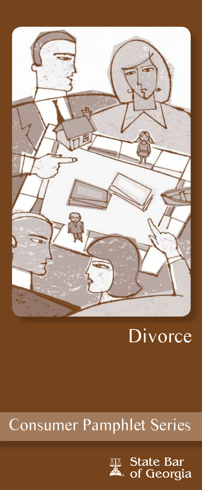

# **Divorce**

## Consumer Pamphlet Series

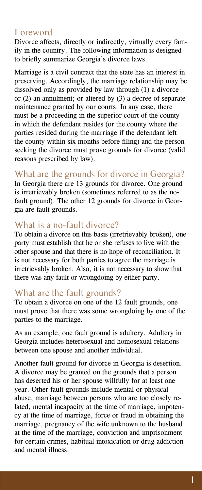#### Foreword

Divorce affects, directly or indirectly, virtually every family in the country. The following information is designed to briefly summarize Georgia's divorce laws.

Marriage is a civil contract that the state has an interest in preserving. Accordingly, the marriage relationship may be dissolved only as provided by law through (1) a divorce or (2) an annulment; or altered by (3) a decree of separate maintenance granted by our courts. In any case, there must be a proceeding in the superior court of the county in which the defendant resides (or the county where the parties resided during the marriage if the defendant left the county within six months before filing) and the person seeking the divorce must prove grounds for divorce (valid reasons prescribed by law).

#### What are the grounds for divorce in Georgia?

In Georgia there are 13 grounds for divorce. One ground is irretrievably broken (sometimes referred to as the nofault ground). The other 12 grounds for divorce in Georgia are fault grounds.

#### What is a no-fault divorce?

To obtain a divorce on this basis (irretrievably broken), one party must establish that he or she refuses to live with the other spouse and that there is no hope of reconciliation. It is not necessary for both parties to agree the marriage is irretrievably broken. Also, it is not necessary to show that there was any fault or wrongdoing by either party.

#### What are the fault grounds?

To obtain a divorce on one of the 12 fault grounds, one must prove that there was some wrongdoing by one of the parties to the marriage.

As an example, one fault ground is adultery. Adultery in Georgia includes heterosexual and homosexual relations between one spouse and another individual.

Another fault ground for divorce in Georgia is desertion. A divorce may be granted on the grounds that a person has deserted his or her spouse willfully for at least one year. Other fault grounds include mental or physical abuse, marriage between persons who are too closely related, mental incapacity at the time of marriage, impotency at the time of marriage, force or fraud in obtaining the marriage, pregnancy of the wife unknown to the husband at the time of the marriage, conviction and imprisonment for certain crimes, habitual intoxication or drug addiction and mental illness.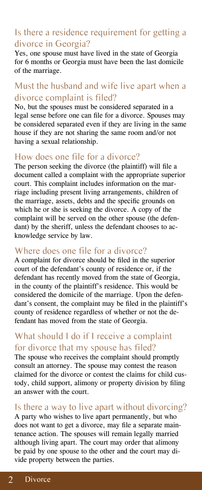## Is there a residence requirement for getting a divorce in Georgia?

Yes, one spouse must have lived in the state of Georgia for 6 months or Georgia must have been the last domicile of the marriage.

## Must the husband and wife live apart when a divorce complaint is filed?

No, but the spouses must be considered separated in a legal sense before one can file for a divorce. Spouses may be considered separated even if they are living in the same house if they are not sharing the same room and/or not having a sexual relationship.

#### How does one file for a divorce?

The person seeking the divorce (the plaintiff) will file a document called a complaint with the appropriate superior court. This complaint includes information on the marriage including present living arrangements, children of the marriage, assets, debts and the specific grounds on which he or she is seeking the divorce. A copy of the complaint will be served on the other spouse (the defendant) by the sheriff, unless the defendant chooses to acknowledge service by law.

#### Where does one file for a divorce?

A complaint for divorce should be filed in the superior court of the defendant's county of residence or, if the defendant has recently moved from the state of Georgia, in the county of the plaintiff's residence. This would be considered the domicile of the marriage. Upon the defendant's consent, the complaint may be filed in the plaintiff's county of residence regardless of whether or not the defendant has moved from the state of Georgia.

## What should I do if I receive a complaint for divorce that my spouse has filed?

The spouse who receives the complaint should promptly consult an attorney. The spouse may contest the reason claimed for the divorce or contest the claims for child custody, child support, alimony or property division by filing an answer with the court.

## Is there a way to live apart without divorcing?

A party who wishes to live apart permanently, but who does not want to get a divorce, may file a separate maintenance action. The spouses will remain legally married although living apart. The court may order that alimony be paid by one spouse to the other and the court may divide property between the parties.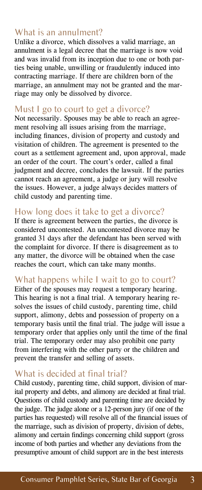#### What is an annulment?

Unlike a divorce, which dissolves a valid marriage, an annulment is a legal decree that the marriage is now void and was invalid from its inception due to one or both parties being unable, unwilling or fraudulently induced into contracting marriage. If there are children born of the marriage, an annulment may not be granted and the marriage may only be dissolved by divorce.

#### Must I go to court to get a divorce?

Not necessarily. Spouses may be able to reach an agreement resolving all issues arising from the marriage, including finances, division of property and custody and visitation of children. The agreement is presented to the court as a settlement agreement and, upon approval, made an order of the court. The court's order, called a final judgment and decree, concludes the lawsuit. If the parties cannot reach an agreement, a judge or jury will resolve the issues. However, a judge always decides matters of child custody and parenting time.

#### How long does it take to get a divorce?

If there is agreement between the parties, the divorce is considered uncontested. An uncontested divorce may be granted 31 days after the defendant has been served with the complaint for divorce. If there is disagreement as to any matter, the divorce will be obtained when the case reaches the court, which can take many months.

#### What happens while I wait to go to court?

Either of the spouses may request a temporary hearing. This hearing is not a final trial. A temporary hearing resolves the issues of child custody, parenting time, child support, alimony, debts and possession of property on a temporary basis until the final trial. The judge will issue a temporary order that applies only until the time of the final trial. The temporary order may also prohibit one party from interfering with the other party or the children and prevent the transfer and selling of assets.

#### What is decided at final trial?

Child custody, parenting time, child support, division of marital property and debts, and alimony are decided at final trial. Questions of child custody and parenting time are decided by the judge. The judge alone or a 12-person jury (if one of the parties has requested) will resolve all of the financial issues of the marriage, such as division of property, division of debts, alimony and certain findings concerning child support (gross income of both parties and whether any deviations from the presumptive amount of child support are in the best interests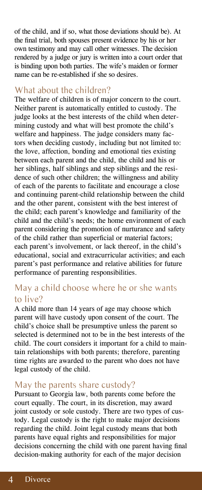of the child, and if so, what those deviations should be). At the final trial, both spouses present evidence by his or her own testimony and may call other witnesses. The decision rendered by a judge or jury is written into a court order that is binding upon both parties. The wife's maiden or former name can be re-established if she so desires.

#### What about the children?

The welfare of children is of major concern to the court. Neither parent is automatically entitled to custody. The judge looks at the best interests of the child when determining custody and what will best promote the child's welfare and happiness. The judge considers many factors when deciding custody, including but not limited to: the love, affection, bonding and emotional ties existing between each parent and the child, the child and his or her siblings, half siblings and step siblings and the residence of such other children; the willingness and ability of each of the parents to facilitate and encourage a close and continuing parent-child relationship between the child and the other parent, consistent with the best interest of the child; each parent's knowledge and familiarity of the child and the child's needs; the home environment of each parent considering the promotion of nurturance and safety of the child rather than superficial or material factors; each parent's involvement, or lack thereof, in the child's educational, social and extracurricular activities; and each parent's past performance and relative abilities for future performance of parenting responsibilities.

## May a child choose where he or she wants to live?

A child more than 14 years of age may choose which parent will have custody upon consent of the court. The child's choice shall be presumptive unless the parent so selected is determined not to be in the best interests of the child. The court considers it important for a child to maintain relationships with both parents; therefore, parenting time rights are awarded to the parent who does not have legal custody of the child.

#### May the parents share custody?

Pursuant to Georgia law, both parents come before the court equally. The court, in its discretion, may award joint custody or sole custody. There are two types of custody. Legal custody is the right to make major decisions regarding the child. Joint legal custody means that both parents have equal rights and responsibilities for major decisions concerning the child with one parent having final decision-making authority for each of the major decision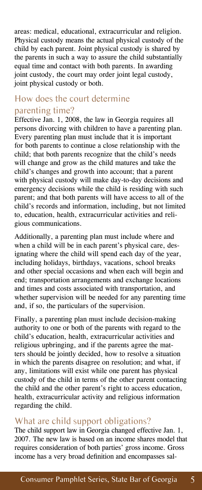areas: medical, educational, extracurricular and religion. Physical custody means the actual physical custody of the child by each parent. Joint physical custody is shared by the parents in such a way to assure the child substantially equal time and contact with both parents. In awarding joint custody, the court may order joint legal custody, joint physical custody or both.

#### How does the court determine parenting time?

Effective Jan. 1, 2008, the law in Georgia requires all persons divorcing with children to have a parenting plan. Every parenting plan must include that it is important for both parents to continue a close relationship with the child; that both parents recognize that the child's needs will change and grow as the child matures and take the child's changes and growth into account; that a parent with physical custody will make day-to-day decisions and emergency decisions while the child is residing with such parent; and that both parents will have access to all of the child's records and information, including, but not limited to, education, health, extracurricular activities and religious communications.

Additionally, a parenting plan must include where and when a child will be in each parent's physical care, designating where the child will spend each day of the year, including holidays, birthdays, vacations, school breaks and other special occasions and when each will begin and end; transportation arrangements and exchange locations and times and costs associated with transportation, and whether supervision will be needed for any parenting time and, if so, the particulars of the supervision.

Finally, a parenting plan must include decision-making authority to one or both of the parents with regard to the child's education, health, extracurricular activities and religious upbringing, and if the parents agree the matters should be jointly decided, how to resolve a situation in which the parents disagree on resolution; and what, if any, limitations will exist while one parent has physical custody of the child in terms of the other parent contacting the child and the other parent's right to access education, health, extracurricular activity and religious information regarding the child.

#### What are child support obligations?

The child support law in Georgia changed effective Jan. 1, 2007. The new law is based on an income shares model that requires consideration of both parties' gross income. Gross income has a very broad definition and encompasses sal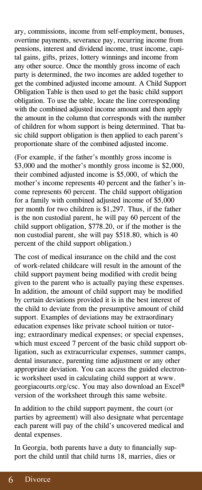ary, commissions, income from self-employment, bonuses, overtime payments, severance pay, recurring income from pensions, interest and dividend income, trust income, capital gains, gifts, prizes, lottery winnings and income from any other source. Once the monthly gross income of each party is determined, the two incomes are added together to get the combined adjusted income amount. A Child Support Obligation Table is then used to get the basic child support obligation. To use the table, locate the line corresponding with the combined adjusted income amount and then apply the amount in the column that corresponds with the number of children for whom support is being determined. That basic child support obligation is then applied to each parent's proportionate share of the combined adjusted income.

(For example, if the father's monthly gross income is \$3,000 and the mother's monthly gross income is \$2,000, their combined adjusted income is \$5,000, of which the mother's income represents 40 percent and the father's income represents 60 percent. The child support obligation for a family with combined adjusted income of \$5,000 per month for two children is \$1,297. Thus, if the father is the non custodial parent, he will pay 60 percent of the child support obligation, \$778.20, or if the mother is the non custodial parent, she will pay \$518.80, which is 40 percent of the child support obligation.)

The cost of medical insurance on the child and the cost of work-related childcare will result in the amount of the child support payment being modified with credit being given to the parent who is actually paying these expenses. In addition, the amount of child support may be modified by certain deviations provided it is in the best interest of the child to deviate from the presumptive amount of child support. Examples of deviations may be extraordinary education expenses like private school tuition or tutoring; extraordinary medical expenses; or special expenses, which must exceed 7 percent of the basic child support obligation, such as extracurricular expenses, summer camps, dental insurance, parenting time adjustment or any other appropriate deviation. You can access the guided electronic worksheet used in calculating child support at www. georgiacourts.org/csc. You may also download an Excel® version of the worksheet through this same website.

In addition to the child support payment, the court (or parties by agreement) will also designate what percentage each parent will pay of the child's uncovered medical and dental expenses.

In Georgia, both parents have a duty to financially support the child until that child turns 18, marries, dies or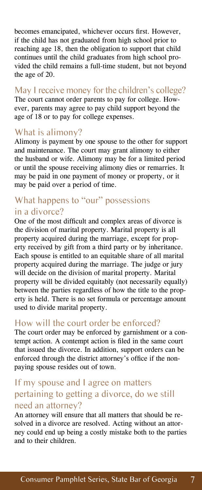becomes emancipated, whichever occurs first. However, if the child has not graduated from high school prior to reaching age 18, then the obligation to support that child continues until the child graduates from high school provided the child remains a full-time student, but not beyond the age of 20.

May I receive money for the children's college? The court cannot order parents to pay for college. However, parents may agree to pay child support beyond the age of 18 or to pay for college expenses.

#### What is alimony?

Alimony is payment by one spouse to the other for support and maintenance. The court may grant alimony to either the husband or wife. Alimony may be for a limited period or until the spouse receiving alimony dies or remarries. It may be paid in one payment of money or property, or it may be paid over a period of time.

#### What happens to "our" possessions in a divorce?

One of the most difficult and complex areas of divorce is the division of marital property. Marital property is all property acquired during the marriage, except for property received by gift from a third party or by inheritance. Each spouse is entitled to an equitable share of all marital property acquired during the marriage. The judge or jury will decide on the division of marital property. Marital property will be divided equitably (not necessarily equally) between the parties regardless of how the title to the property is held. There is no set formula or percentage amount used to divide marital property.

#### How will the court order be enforced?

The court order may be enforced by garnishment or a contempt action. A contempt action is filed in the same court that issued the divorce. In addition, support orders can be enforced through the district attorney's office if the nonpaying spouse resides out of town.

## If my spouse and I agree on matters pertaining to getting a divorce, do we still need an attorney?

An attorney will ensure that all matters that should be resolved in a divorce are resolved. Acting without an attorney could end up being a costly mistake both to the parties and to their children.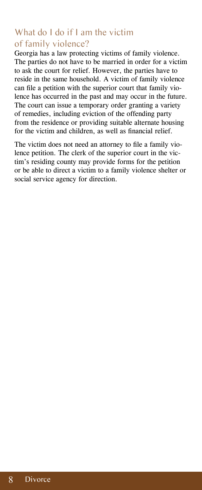## What do I do if I am the victim of family violence?

Georgia has a law protecting victims of family violence. The parties do not have to be married in order for a victim to ask the court for relief. However, the parties have to reside in the same household. A victim of family violence can file a petition with the superior court that family violence has occurred in the past and may occur in the future. The court can issue a temporary order granting a variety of remedies, including eviction of the offending party from the residence or providing suitable alternate housing for the victim and children, as well as financial relief.

The victim does not need an attorney to file a family violence petition. The clerk of the superior court in the victim's residing county may provide forms for the petition or be able to direct a victim to a family violence shelter or social service agency for direction.